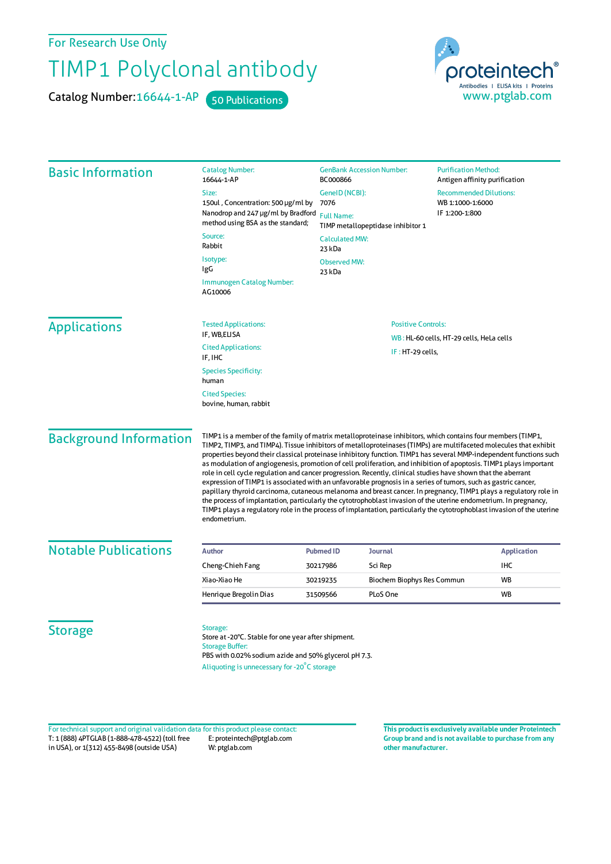For Research Use Only

## TIMP1 Polyclonal antibody

Catalog Number: 16644-1-AP 50 Publications

proteintech® Antibodies | ELISA kits | Proteins<br>WWW.ptglab.com

| <b>Basic Information</b>      | <b>Catalog Number:</b><br>16644-1-AP                                                                                                                                                                                                                                                                                                                                                                                                                                                                                                                                                                                                                                                                                                                                                                                                                                                                                                                                                                                                                                                               | <b>GenBank Accession Number:</b><br>BC000866           | <b>Purification Method:</b><br>Antigen affinity purification |
|-------------------------------|----------------------------------------------------------------------------------------------------------------------------------------------------------------------------------------------------------------------------------------------------------------------------------------------------------------------------------------------------------------------------------------------------------------------------------------------------------------------------------------------------------------------------------------------------------------------------------------------------------------------------------------------------------------------------------------------------------------------------------------------------------------------------------------------------------------------------------------------------------------------------------------------------------------------------------------------------------------------------------------------------------------------------------------------------------------------------------------------------|--------------------------------------------------------|--------------------------------------------------------------|
|                               | Size:                                                                                                                                                                                                                                                                                                                                                                                                                                                                                                                                                                                                                                                                                                                                                                                                                                                                                                                                                                                                                                                                                              | GeneID (NCBI):                                         | <b>Recommended Dilutions:</b>                                |
|                               | 150ul, Concentration: 500 µg/ml by                                                                                                                                                                                                                                                                                                                                                                                                                                                                                                                                                                                                                                                                                                                                                                                                                                                                                                                                                                                                                                                                 | 7076                                                   | WB 1:1000-1:6000<br>IF 1:200-1:800                           |
|                               | Nanodrop and 247 µg/ml by Bradford<br>method using BSA as the standard;                                                                                                                                                                                                                                                                                                                                                                                                                                                                                                                                                                                                                                                                                                                                                                                                                                                                                                                                                                                                                            | <b>Full Name:</b><br>TIMP metallopeptidase inhibitor 1 |                                                              |
|                               | Source:<br>Rabbit                                                                                                                                                                                                                                                                                                                                                                                                                                                                                                                                                                                                                                                                                                                                                                                                                                                                                                                                                                                                                                                                                  | <b>Calculated MW:</b><br>23 kDa                        |                                                              |
|                               | Isotype:<br>IgG                                                                                                                                                                                                                                                                                                                                                                                                                                                                                                                                                                                                                                                                                                                                                                                                                                                                                                                                                                                                                                                                                    | <b>Observed MW:</b><br>23 kDa                          |                                                              |
|                               | Immunogen Catalog Number:<br>AG10006                                                                                                                                                                                                                                                                                                                                                                                                                                                                                                                                                                                                                                                                                                                                                                                                                                                                                                                                                                                                                                                               |                                                        |                                                              |
| <b>Applications</b>           | <b>Tested Applications:</b>                                                                                                                                                                                                                                                                                                                                                                                                                                                                                                                                                                                                                                                                                                                                                                                                                                                                                                                                                                                                                                                                        | <b>Positive Controls:</b>                              |                                                              |
|                               | IF, WB,ELISA                                                                                                                                                                                                                                                                                                                                                                                                                                                                                                                                                                                                                                                                                                                                                                                                                                                                                                                                                                                                                                                                                       | WB: HL-60 cells, HT-29 cells, HeLa cells               |                                                              |
|                               | <b>Cited Applications:</b><br>IF, IHC                                                                                                                                                                                                                                                                                                                                                                                                                                                                                                                                                                                                                                                                                                                                                                                                                                                                                                                                                                                                                                                              | IF: HT-29 cells,                                       |                                                              |
|                               | <b>Species Specificity:</b><br>human                                                                                                                                                                                                                                                                                                                                                                                                                                                                                                                                                                                                                                                                                                                                                                                                                                                                                                                                                                                                                                                               |                                                        |                                                              |
|                               | <b>Cited Species:</b><br>bovine, human, rabbit                                                                                                                                                                                                                                                                                                                                                                                                                                                                                                                                                                                                                                                                                                                                                                                                                                                                                                                                                                                                                                                     |                                                        |                                                              |
| <b>Background Information</b> | TIMP1 is a member of the family of matrix metalloproteinase inhibitors, which contains four members (TIMP1,<br>TIMP2, TIMP3, and TIMP4). Tissue inhibitors of metalloproteinases (TIMPs) are multifaceted molecules that exhibit<br>properties beyond their classical proteinase inhibitory function. TIMP1 has several MMP-independent functions such<br>as modulation of angiogenesis, promotion of cell proliferation, and inhibition of apoptosis. TIMP1 plays important<br>role in cell cycle regulation and cancer progression. Recently, clinical studies have shown that the aberrant<br>expression of TIMP1 is associated with an unfavorable prognosis in a series of tumors, such as gastric cancer,<br>papillary thyroid carcinoma, cutaneous melanoma and breast cancer. In pregnancy, TIMP1 plays a regulatory role in<br>the process of implantation, particularly the cytotrophoblast invasion of the uterine endometrium. In pregnancy,<br>TIMP1 plays a regulatory role in the process of implantation, particularly the cytotrophoblast invasion of the uterine<br>endometrium. |                                                        |                                                              |
| <b>Notable Publications</b>   | <b>Author</b>                                                                                                                                                                                                                                                                                                                                                                                                                                                                                                                                                                                                                                                                                                                                                                                                                                                                                                                                                                                                                                                                                      | <b>Pubmed ID</b><br><b>Journal</b>                     | <b>Application</b>                                           |
|                               | Cheng-Chieh Fang                                                                                                                                                                                                                                                                                                                                                                                                                                                                                                                                                                                                                                                                                                                                                                                                                                                                                                                                                                                                                                                                                   | Sci Rep<br>30217986                                    | <b>IHC</b>                                                   |
|                               | Xiao-Xiao He                                                                                                                                                                                                                                                                                                                                                                                                                                                                                                                                                                                                                                                                                                                                                                                                                                                                                                                                                                                                                                                                                       | Biochem Biophys Res Commun<br>30219235                 | <b>WB</b>                                                    |
|                               | Henrique Bregolin Dias                                                                                                                                                                                                                                                                                                                                                                                                                                                                                                                                                                                                                                                                                                                                                                                                                                                                                                                                                                                                                                                                             | PLoS One<br>31509566                                   | <b>WB</b>                                                    |
| <b>Storage</b>                | Storage:<br>Store at -20°C. Stable for one year after shipment.<br><b>Storage Buffer:</b><br>PBS with 0.02% sodium azide and 50% glycerol pH 7.3.<br>Aliquoting is unnecessary for -20°C storage                                                                                                                                                                                                                                                                                                                                                                                                                                                                                                                                                                                                                                                                                                                                                                                                                                                                                                   |                                                        |                                                              |

T: 1 (888) 4PTGLAB (1-888-478-4522) (toll free in USA), or 1(312) 455-8498 (outside USA) E: proteintech@ptglab.com W: ptglab.com Fortechnical support and original validation data forthis product please contact: **This productis exclusively available under Proteintech**

**Group brand and is not available to purchase from any other manufacturer.**